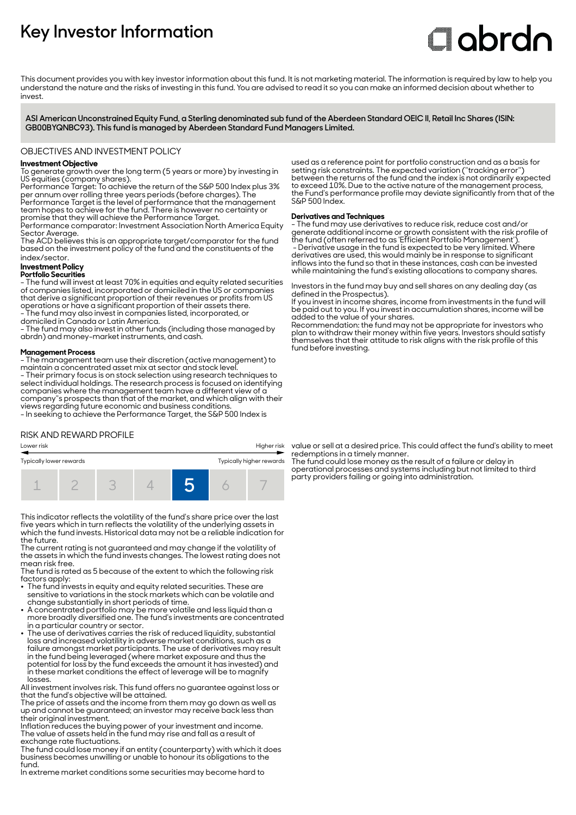# **Key Investor Information**

# Clobrdn

This document provides you with key investor information about this fund. It is not marketing material. The information is required by law to help you understand the nature and the risks of investing in this fund. You are advised to read it so you can make an informed decision about whether to invest

**ASI American Unconstrained Equity Fund, a Sterling denominated sub fund of the Aberdeen Standard OEIC II, Retail Inc Shares (ISIN: GB00BYQNBC93). This fund is managed by Aberdeen Standard Fund Managers Limited.**

#### OBJECTIVES AND INVESTMENT POLICY

#### **Investment Objective**

To generate growth over the long term (5 years or more) by investing in US equities (company shares).

Performance Target: To achieve the return of the S&P 500 Index plus 3% per annum over rolling three years periods (before charges). The Performance Target is the level of performance that the management team hopes to achieve for the fund. There is however no certainty or

promise that they will achieve the Performance Target. Performance comparator: Investment Association North America Equity Sector Average.

The ACD believes this is an appropriate target/comparator for the fund based on the investment policy of the fund and the constituents of the index/sector.

## **Investment Policy**

#### **Portfolio Securities**

- The fund will invest at least 70% in equities and equity related securities of companies listed, incorporated or domiciled in the US or companies that derive a significant proportion of their revenues or profits from US operations or have a significant proportion of their assets there. - The fund may also invest in companies listed, incorporated, or domiciled in Canada or Latin America.

- The fund may also invest in other funds (including those managed by abrdn) and money-market instruments, and cash.

#### **Management Process**

- The management team use their discretion (active management) to maintain a concentrated asset mix at sector and stock level. - Their primary focus is on stock selection using research techniques to select individual holdings. The research process is focused on identifying companies where the management team have a different view of a company''s prospects than that of the market, and which align with their views regarding future economic and business conditions.

- In seeking to achieve the Performance Target, the S&P 500 Index is

RISK AND REWARD PROFILE



This indicator reflects the volatility of the fund's share price over the last five years which in turn reflects the volatility of the underlying assets in which the fund invests. Historical data may not be a reliable indication for the future.

The current rating is not guaranteed and may change if the volatility of the assets in which the fund invests changes. The lowest rating does not mean risk free.

The fund is rated as 5 because of the extent to which the following risk factors apply:

- 2 The fund invests in equity and equity related securities. These are sensitive to variations in the stock markets which can be volatile and change substantially in short periods of time.
- A concentrated portfolio may be more volatile and less liquid than a more broadly diversified one. The fund's investments are concentrated
- in a particular country or sector. 2 The use of derivatives carries the risk of reduced liquidity, substantial loss and increased volatility in adverse market conditions, such as a failure amongst market participants. The use of derivatives may result in the fund being leveraged (where market exposure and thus the potential for loss by the fund exceeds the amount it has invested) and in these market conditions the effect of leverage will be to magnify losses.

All investment involves risk. This fund offers no guarantee against loss or that the fund's objective will be attained.

The price of assets and the income from them may go down as well as up and cannot be guaranteed; an investor may receive back less than their original investment.

Inflation reduces the buying power of your investment and income. The value of assets held in the fund may rise and fall as a result of exchange rate fluctuations.

The fund could lose money if an entity (counterparty) with which it does business becomes unwilling or unable to honour its obligations to the fund.

In extreme market conditions some securities may become hard to

used as a reference point for portfolio construction and as a basis for setting risk constraints. The expected variation (''tracking error'') between the returns of the fund and the index is not ordinarily expected to exceed 10%. Due to the active nature of the management process, the Fund's performance profile may deviate significantly from that of the S&P 500 Index.

#### **Derivatives and Techniques**

- The fund may use derivatives to reduce risk, reduce cost and/or generate additional income or growth consistent with the risk profile of the fund (often referred to as 'Efficient Portfolio Management'). - Derivative usage in the fund is expected to be very limited. Where derivatives are used, this would mainly be in response to significant inflows into the fund so that in these instances, cash can be invested while maintaining the fund's existing allocations to company shares.

Investors in the fund may buy and sell shares on any dealing day (as defined in the Prospectus).

If you invest in income shares, income from investments in the fund will be paid out to you. If you invest in accumulation shares, income will be added to the value of your shares.

Recommendation: the fund may not be appropriate for investors who plan to withdraw their money within five years. Investors should satisfy themselves that their attitude to risk aligns with the risk profile of this fund before investing.

value or sell at a desired price. This could affect the fund's ability to meet redemptions in a timely manner.

The fund could lose money as the result of a failure or delay in operational processes and systems including but not limited to third party providers failing or going into administration.